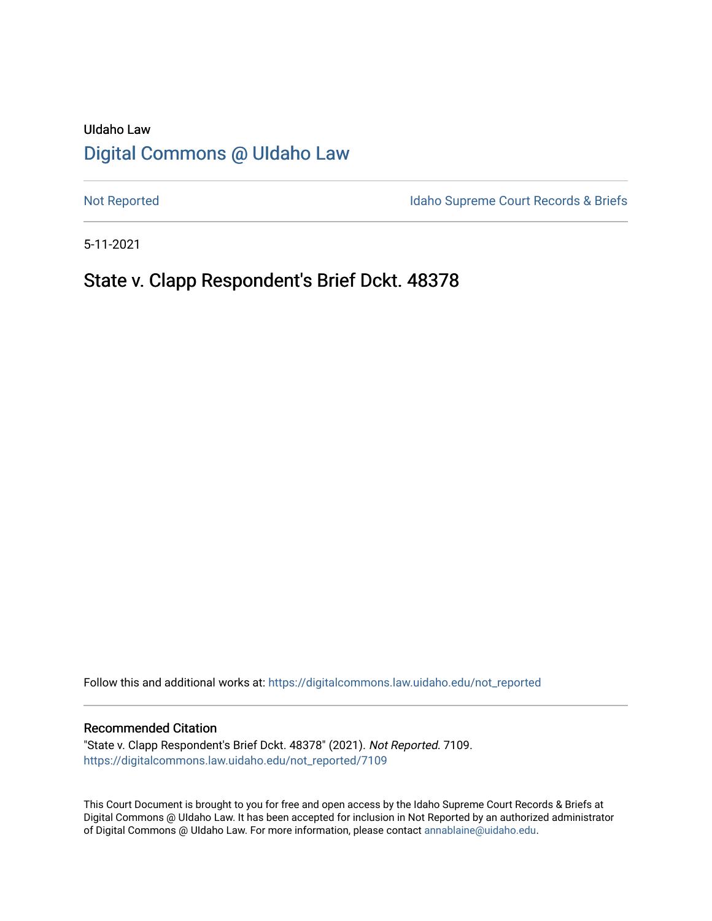# UIdaho Law [Digital Commons @ UIdaho Law](https://digitalcommons.law.uidaho.edu/)

[Not Reported](https://digitalcommons.law.uidaho.edu/not_reported) **Idaho Supreme Court Records & Briefs** 

5-11-2021

# State v. Clapp Respondent's Brief Dckt. 48378

Follow this and additional works at: [https://digitalcommons.law.uidaho.edu/not\\_reported](https://digitalcommons.law.uidaho.edu/not_reported?utm_source=digitalcommons.law.uidaho.edu%2Fnot_reported%2F7109&utm_medium=PDF&utm_campaign=PDFCoverPages) 

#### Recommended Citation

"State v. Clapp Respondent's Brief Dckt. 48378" (2021). Not Reported. 7109. [https://digitalcommons.law.uidaho.edu/not\\_reported/7109](https://digitalcommons.law.uidaho.edu/not_reported/7109?utm_source=digitalcommons.law.uidaho.edu%2Fnot_reported%2F7109&utm_medium=PDF&utm_campaign=PDFCoverPages)

This Court Document is brought to you for free and open access by the Idaho Supreme Court Records & Briefs at Digital Commons @ UIdaho Law. It has been accepted for inclusion in Not Reported by an authorized administrator of Digital Commons @ UIdaho Law. For more information, please contact [annablaine@uidaho.edu](mailto:annablaine@uidaho.edu).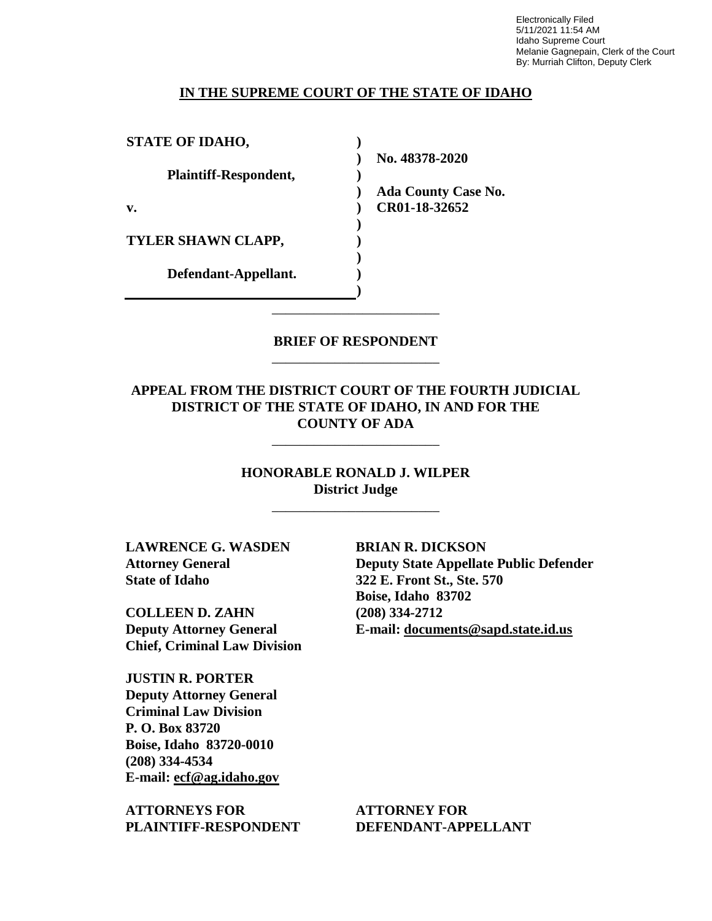Electronically Filed 5/11/2021 11:54 AM Idaho Supreme Court Melanie Gagnepain, Clerk of the Court By: Murriah Clifton, Deputy Clerk

#### **IN THE SUPREME COURT OF THE STATE OF IDAHO**

**STATE OF IDAHO, Plaintiff-Respondent, v. TYLER SHAWN CLAPP, Defendant-Appellant. ) ) ) ) ) ) ) ) ) )**

**No. 48378-2020** 

**Ada County Case No. CR01-18-32652** 

### **BRIEF OF RESPONDENT** \_\_\_\_\_\_\_\_\_\_\_\_\_\_\_\_\_\_\_\_\_\_\_\_

\_\_\_\_\_\_\_\_\_\_\_\_\_\_\_\_\_\_\_\_\_\_\_\_

### **APPEAL FROM THE DISTRICT COURT OF THE FOURTH JUDICIAL DISTRICT OF THE STATE OF IDAHO, IN AND FOR THE COUNTY OF ADA**

\_\_\_\_\_\_\_\_\_\_\_\_\_\_\_\_\_\_\_\_\_\_\_\_

### **HONORABLE RONALD J. WILPER District Judge**

\_\_\_\_\_\_\_\_\_\_\_\_\_\_\_\_\_\_\_\_\_\_\_\_

**LAWRENCE G. WASDEN Attorney General State of Idaho**

**COLLEEN D. ZAHN Deputy Attorney General Chief, Criminal Law Division**

**JUSTIN R. PORTER Deputy Attorney General Criminal Law Division P. O. Box 83720 Boise, Idaho 83720-0010 (208) 334-4534 E-mail: ecf@ag.idaho.gov** 

**ATTORNEYS FOR PLAINTIFF-RESPONDENT**

**BRIAN R. DICKSON Deputy State Appellate Public Defender 322 E. Front St., Ste. 570 Boise, Idaho 83702 (208) 334-2712 E-mail: documents@sapd.state.id.us** 

**ATTORNEY FOR DEFENDANT-APPELLANT**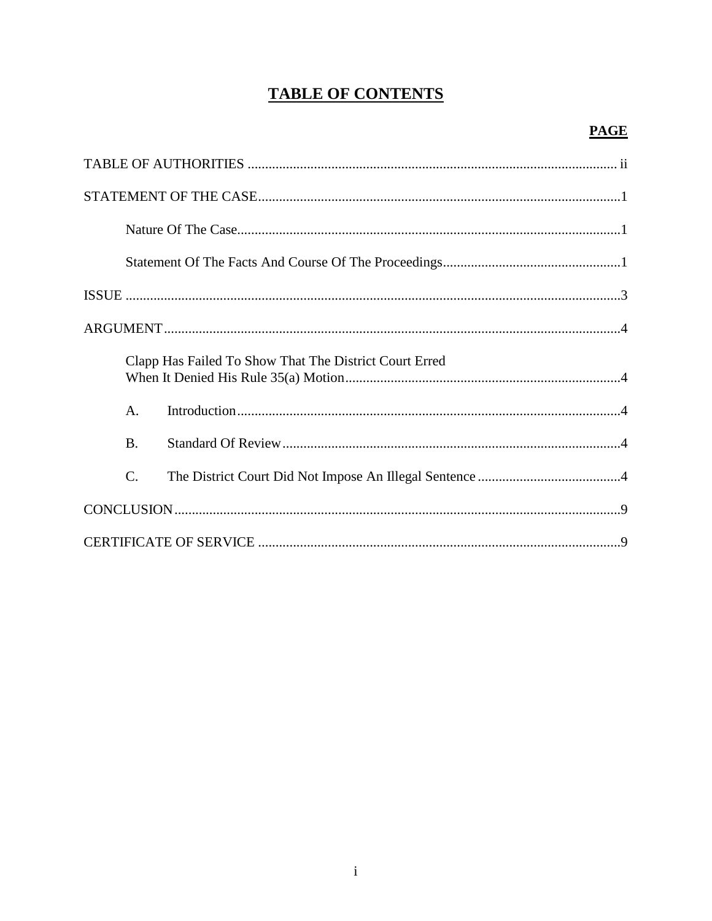# **TABLE OF CONTENTS**

| Clapp Has Failed To Show That The District Court Erred |
|--------------------------------------------------------|
| $\mathsf{A}$ .                                         |
| <b>B.</b>                                              |
| $\mathcal{C}$ .                                        |
|                                                        |
|                                                        |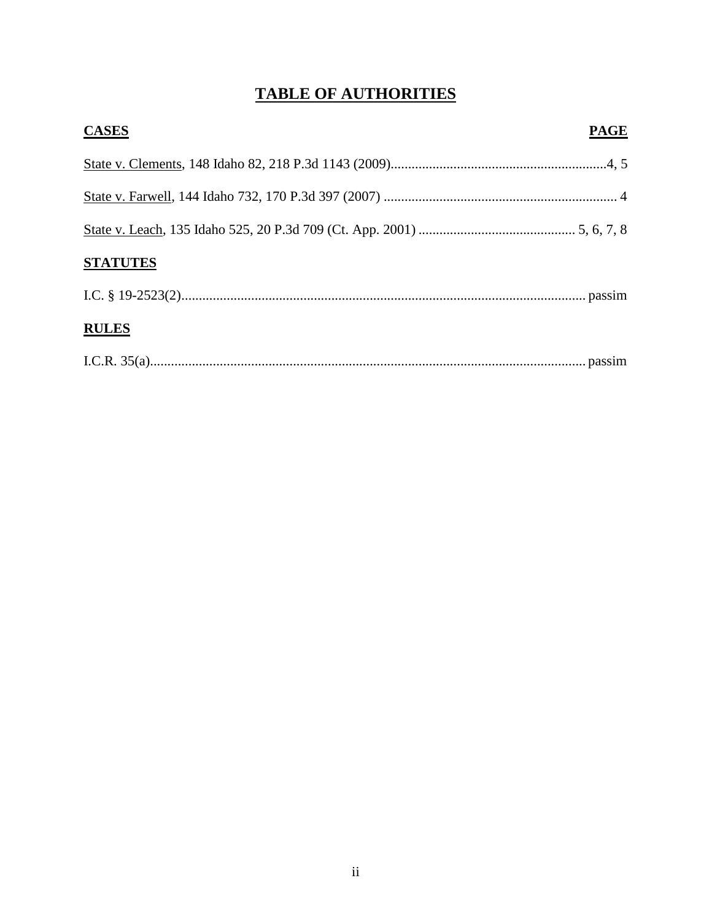# **TABLE OF AUTHORITIES**

| <b>CASES</b>    | <b>PAGE</b> |
|-----------------|-------------|
|                 |             |
|                 |             |
|                 |             |
| <b>STATUTES</b> |             |
|                 |             |
| <b>RULES</b>    |             |
|                 |             |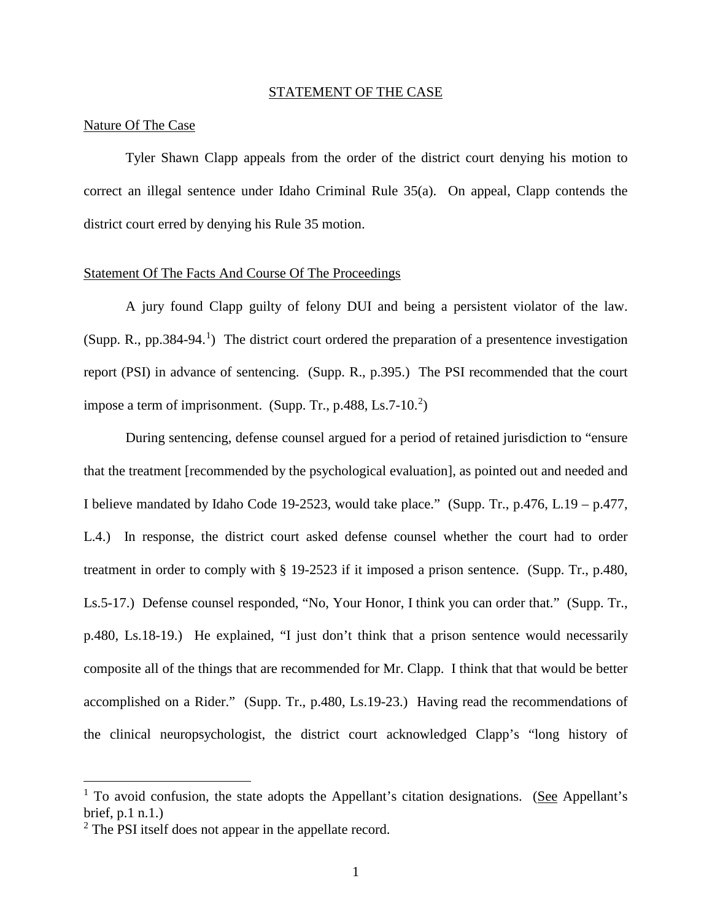#### STATEMENT OF THE CASE

#### Nature Of The Case

Tyler Shawn Clapp appeals from the order of the district court denying his motion to correct an illegal sentence under Idaho Criminal Rule 35(a). On appeal, Clapp contends the district court erred by denying his Rule 35 motion.

#### Statement Of The Facts And Course Of The Proceedings

A jury found Clapp guilty of felony DUI and being a persistent violator of the law. (Supp. R., pp.384-94.<sup>[1](#page-4-0)</sup>) The district court ordered the preparation of a presentence investigation report (PSI) in advance of sentencing. (Supp. R., p.395.) The PSI recommended that the court impose a term of imprisonment. (Supp. Tr., p.488, Ls.7-10. $^{2}$  $^{2}$  $^{2}$ )

During sentencing, defense counsel argued for a period of retained jurisdiction to "ensure that the treatment [recommended by the psychological evaluation], as pointed out and needed and I believe mandated by Idaho Code 19-2523, would take place." (Supp. Tr., p.476, L.19 – p.477, L.4.) In response, the district court asked defense counsel whether the court had to order treatment in order to comply with § 19-2523 if it imposed a prison sentence. (Supp. Tr., p.480, Ls.5-17.) Defense counsel responded, "No, Your Honor, I think you can order that." (Supp. Tr., p.480, Ls.18-19.) He explained, "I just don't think that a prison sentence would necessarily composite all of the things that are recommended for Mr. Clapp. I think that that would be better accomplished on a Rider." (Supp. Tr., p.480, Ls.19-23.) Having read the recommendations of the clinical neuropsychologist, the district court acknowledged Clapp's "long history of

 $\overline{a}$ 

<span id="page-4-0"></span> $<sup>1</sup>$  To avoid confusion, the state adopts the Appellant's citation designations. (See Appellant's</sup> brief, p.1 n.1.)

<span id="page-4-1"></span><sup>&</sup>lt;sup>2</sup> The PSI itself does not appear in the appellate record.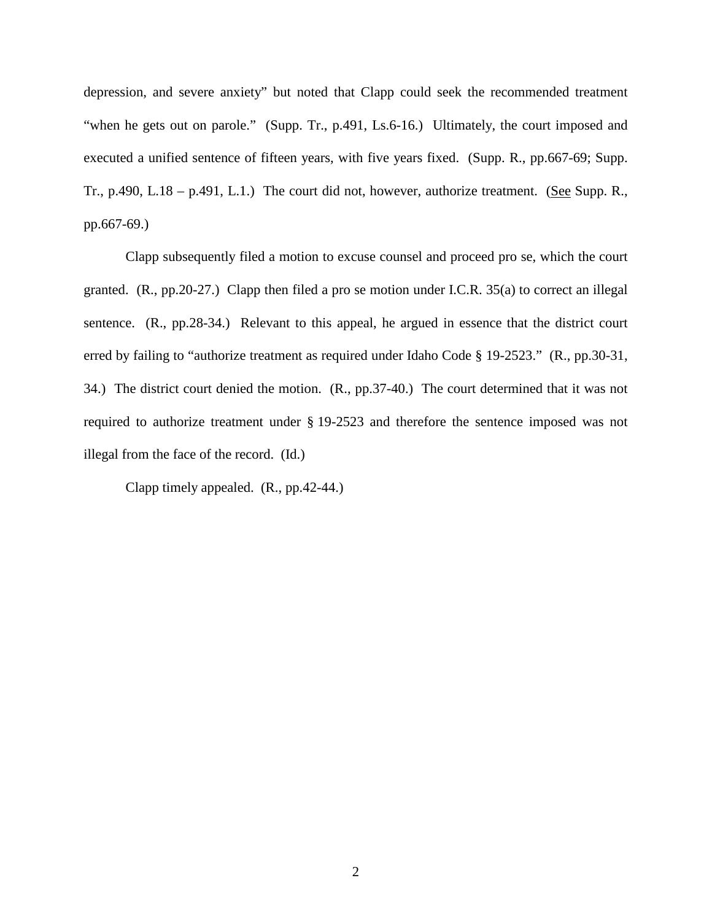depression, and severe anxiety" but noted that Clapp could seek the recommended treatment "when he gets out on parole." (Supp. Tr., p.491, Ls.6-16.) Ultimately, the court imposed and executed a unified sentence of fifteen years, with five years fixed. (Supp. R., pp.667-69; Supp. Tr., p.490, L.18 – p.491, L.1.) The court did not, however, authorize treatment. (See Supp. R., pp.667-69.)

Clapp subsequently filed a motion to excuse counsel and proceed pro se, which the court granted. (R., pp.20-27.) Clapp then filed a pro se motion under I.C.R. 35(a) to correct an illegal sentence. (R., pp.28-34.) Relevant to this appeal, he argued in essence that the district court erred by failing to "authorize treatment as required under Idaho Code § 19-2523." (R., pp.30-31, 34.) The district court denied the motion. (R., pp.37-40.) The court determined that it was not required to authorize treatment under § 19-2523 and therefore the sentence imposed was not illegal from the face of the record. (Id.)

Clapp timely appealed. (R., pp.42-44.)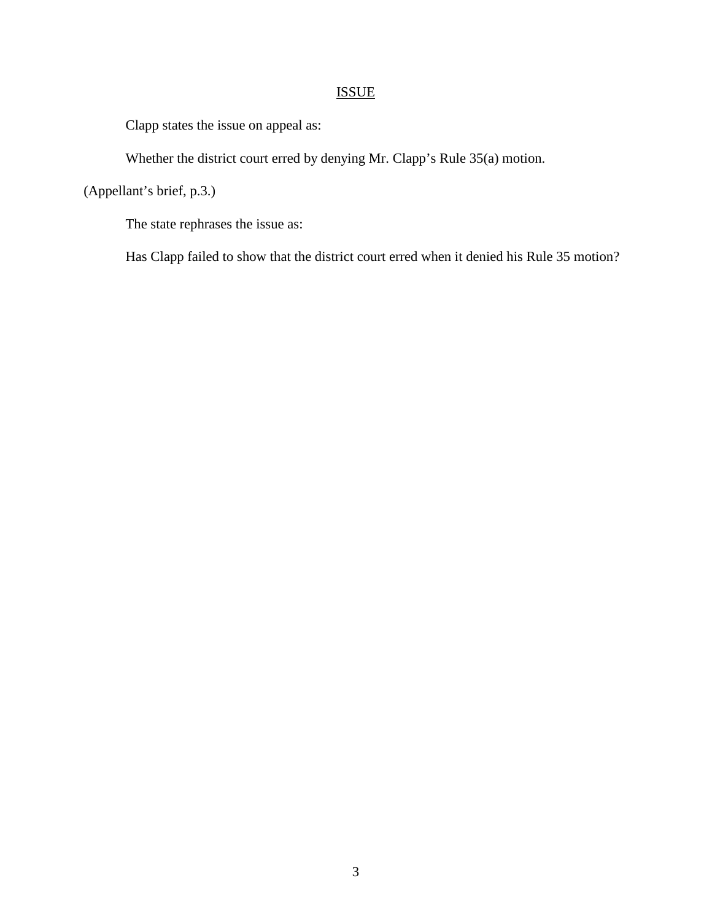# ISSUE

Clapp states the issue on appeal as:

Whether the district court erred by denying Mr. Clapp's Rule 35(a) motion.

(Appellant's brief, p.3.)

The state rephrases the issue as:

Has Clapp failed to show that the district court erred when it denied his Rule 35 motion?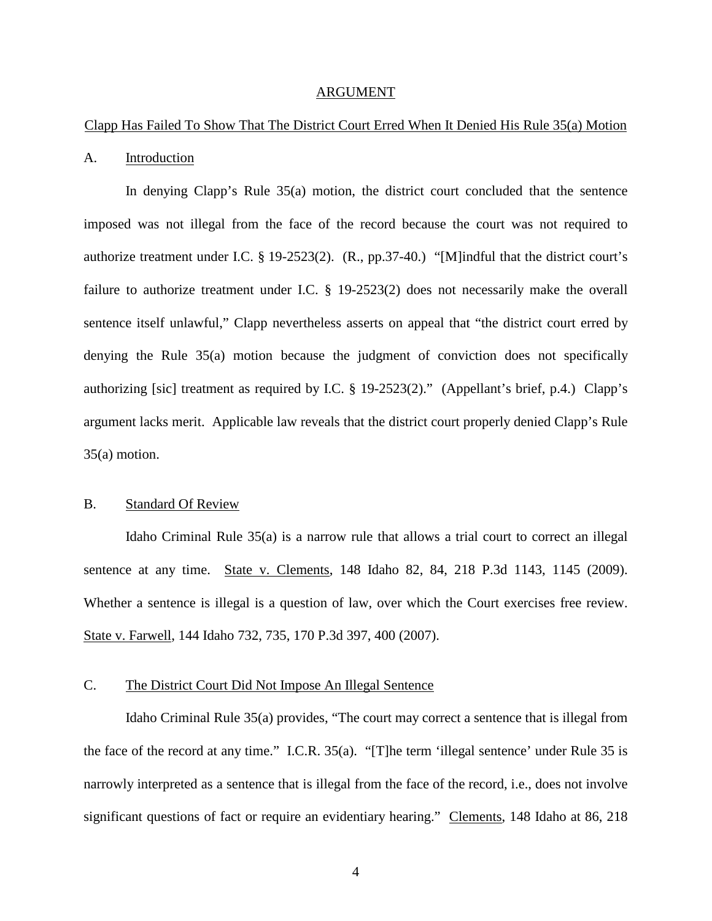#### ARGUMENT

#### Clapp Has Failed To Show That The District Court Erred When It Denied His Rule 35(a) Motion

#### A. Introduction

In denying Clapp's Rule 35(a) motion, the district court concluded that the sentence imposed was not illegal from the face of the record because the court was not required to authorize treatment under I.C. § 19-2523(2). (R., pp.37-40.) "[M]indful that the district court's failure to authorize treatment under I.C. § 19-2523(2) does not necessarily make the overall sentence itself unlawful," Clapp nevertheless asserts on appeal that "the district court erred by denying the Rule 35(a) motion because the judgment of conviction does not specifically authorizing [sic] treatment as required by I.C. § 19-2523(2)." (Appellant's brief, p.4.) Clapp's argument lacks merit. Applicable law reveals that the district court properly denied Clapp's Rule 35(a) motion.

#### B. Standard Of Review

Idaho Criminal Rule 35(a) is a narrow rule that allows a trial court to correct an illegal sentence at any time. State v. Clements, 148 Idaho 82, 84, 218 P.3d 1143, 1145 (2009). Whether a sentence is illegal is a question of law, over which the Court exercises free review. State v. Farwell, 144 Idaho 732, 735, 170 P.3d 397, 400 (2007).

### C. The District Court Did Not Impose An Illegal Sentence

Idaho Criminal Rule 35(a) provides, "The court may correct a sentence that is illegal from the face of the record at any time." I.C.R. 35(a). "[T]he term 'illegal sentence' under Rule 35 is narrowly interpreted as a sentence that is illegal from the face of the record, i.e., does not involve significant questions of fact or require an evidentiary hearing." Clements, 148 Idaho at 86, 218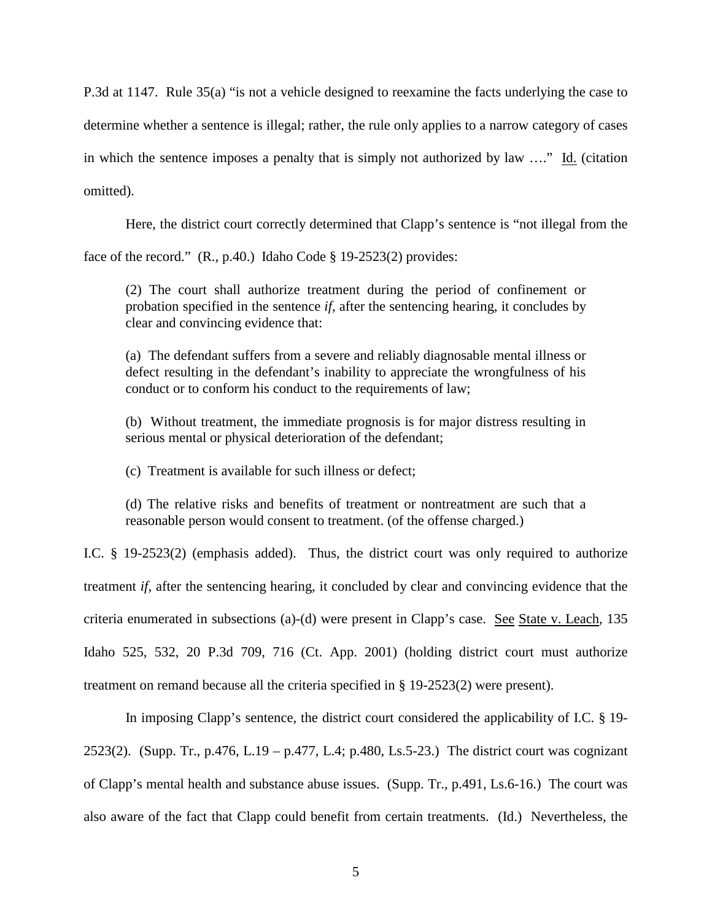P.3d at 1147. Rule 35(a) "is not a vehicle designed to reexamine the facts underlying the case to determine whether a sentence is illegal; rather, the rule only applies to a narrow category of cases in which the sentence imposes a penalty that is simply not authorized by law ...." Id. (citation omitted).

Here, the district court correctly determined that Clapp's sentence is "not illegal from the

face of the record." (R., p.40.) Idaho Code § 19-2523(2) provides:

(2) The court shall authorize treatment during the period of confinement or probation specified in the sentence *if*, after the sentencing hearing, it concludes by clear and convincing evidence that:

(a) The defendant suffers from a severe and reliably diagnosable mental illness or defect resulting in the defendant's inability to appreciate the wrongfulness of his conduct or to conform his conduct to the requirements of law;

(b) Without treatment, the immediate prognosis is for major distress resulting in serious mental or physical deterioration of the defendant;

(c) Treatment is available for such illness or defect;

(d) The relative risks and benefits of treatment or nontreatment are such that a reasonable person would consent to treatment. (of the offense charged.)

I.C. § 19-2523(2) (emphasis added). Thus, the district court was only required to authorize treatment *if*, after the sentencing hearing, it concluded by clear and convincing evidence that the criteria enumerated in subsections (a)-(d) were present in Clapp's case. See State v. Leach, 135 Idaho 525, 532, 20 P.3d 709, 716 (Ct. App. 2001) (holding district court must authorize treatment on remand because all the criteria specified in § 19-2523(2) were present).

In imposing Clapp's sentence, the district court considered the applicability of I.C. § 19- 2523(2). (Supp. Tr., p.476, L.19 – p.477, L.4; p.480, Ls.5-23.) The district court was cognizant of Clapp's mental health and substance abuse issues. (Supp. Tr., p.491, Ls.6-16.) The court was also aware of the fact that Clapp could benefit from certain treatments. (Id.) Nevertheless, the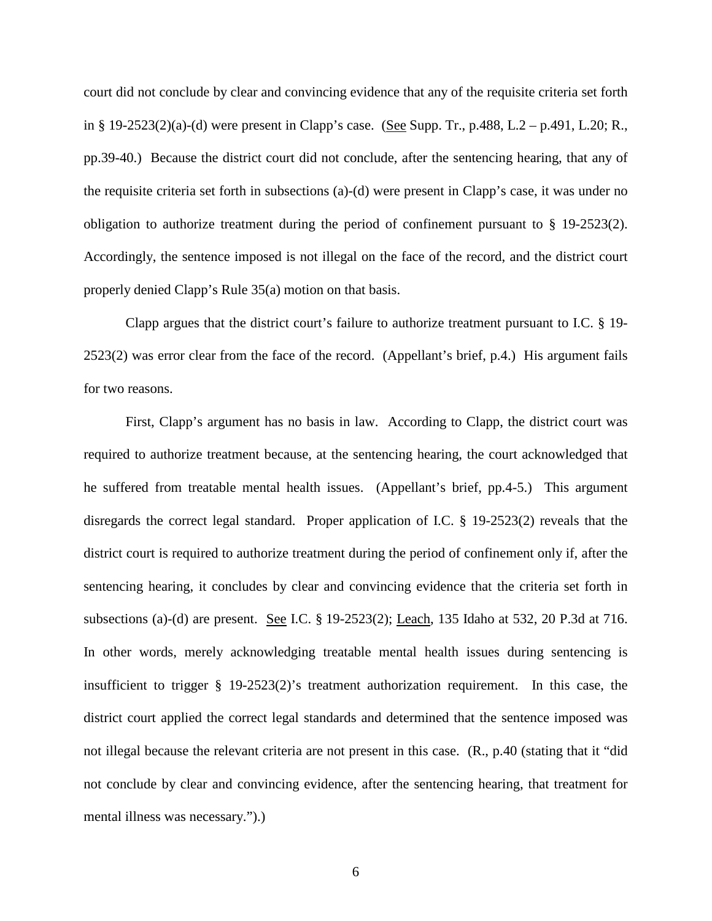court did not conclude by clear and convincing evidence that any of the requisite criteria set forth in § 19-2523(2)(a)-(d) were present in Clapp's case. (See Supp. Tr., p.488, L.2 – p.491, L.20; R., pp.39-40.) Because the district court did not conclude, after the sentencing hearing, that any of the requisite criteria set forth in subsections (a)-(d) were present in Clapp's case, it was under no obligation to authorize treatment during the period of confinement pursuant to § 19-2523(2). Accordingly, the sentence imposed is not illegal on the face of the record, and the district court properly denied Clapp's Rule 35(a) motion on that basis.

Clapp argues that the district court's failure to authorize treatment pursuant to I.C. § 19- 2523(2) was error clear from the face of the record. (Appellant's brief, p.4.) His argument fails for two reasons.

First, Clapp's argument has no basis in law. According to Clapp, the district court was required to authorize treatment because, at the sentencing hearing, the court acknowledged that he suffered from treatable mental health issues. (Appellant's brief, pp.4-5.) This argument disregards the correct legal standard. Proper application of I.C. § 19-2523(2) reveals that the district court is required to authorize treatment during the period of confinement only if, after the sentencing hearing, it concludes by clear and convincing evidence that the criteria set forth in subsections (a)-(d) are present. See I.C. § 19-2523(2); Leach, 135 Idaho at 532, 20 P.3d at 716. In other words, merely acknowledging treatable mental health issues during sentencing is insufficient to trigger § 19-2523(2)'s treatment authorization requirement. In this case, the district court applied the correct legal standards and determined that the sentence imposed was not illegal because the relevant criteria are not present in this case. (R., p.40 (stating that it "did not conclude by clear and convincing evidence, after the sentencing hearing, that treatment for mental illness was necessary.").)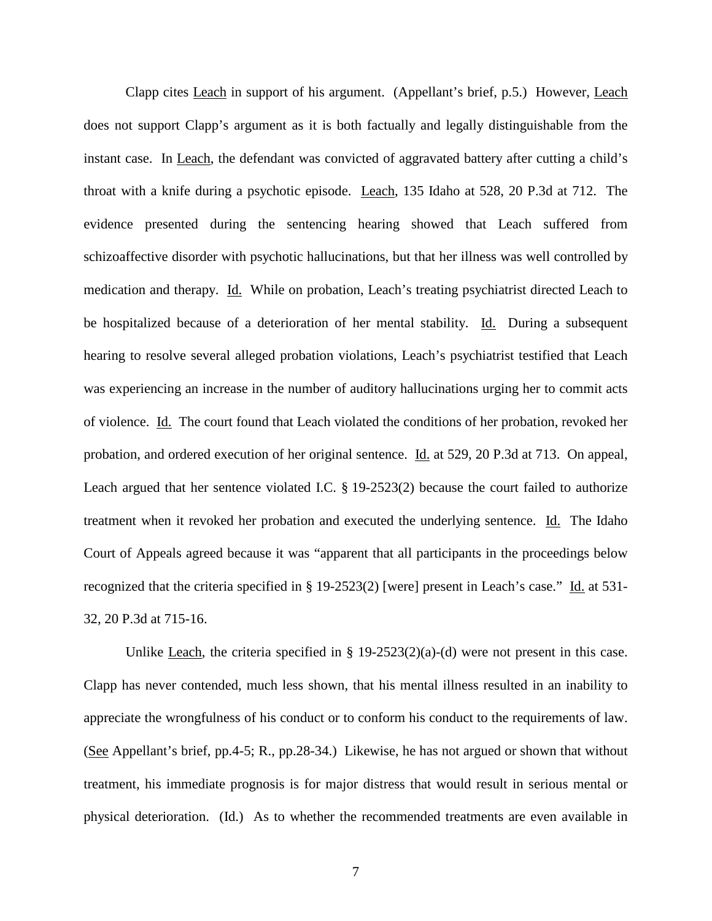Clapp cites **Leach** in support of his argument. (Appellant's brief, p.5.) However, Leach does not support Clapp's argument as it is both factually and legally distinguishable from the instant case. In Leach, the defendant was convicted of aggravated battery after cutting a child's throat with a knife during a psychotic episode. Leach, 135 Idaho at 528, 20 P.3d at 712. The evidence presented during the sentencing hearing showed that Leach suffered from schizoaffective disorder with psychotic hallucinations, but that her illness was well controlled by medication and therapy. Id. While on probation, Leach's treating psychiatrist directed Leach to be hospitalized because of a deterioration of her mental stability. Id. During a subsequent hearing to resolve several alleged probation violations, Leach's psychiatrist testified that Leach was experiencing an increase in the number of auditory hallucinations urging her to commit acts of violence. Id. The court found that Leach violated the conditions of her probation, revoked her probation, and ordered execution of her original sentence. Id. at 529, 20 P.3d at 713. On appeal, Leach argued that her sentence violated I.C. § 19-2523(2) because the court failed to authorize treatment when it revoked her probation and executed the underlying sentence. Id. The Idaho Court of Appeals agreed because it was "apparent that all participants in the proceedings below recognized that the criteria specified in § 19-2523(2) [were] present in Leach's case." Id. at 531- 32, 20 P.3d at 715-16.

Unlike Leach, the criteria specified in  $\S$  19-2523(2)(a)-(d) were not present in this case. Clapp has never contended, much less shown, that his mental illness resulted in an inability to appreciate the wrongfulness of his conduct or to conform his conduct to the requirements of law. (See Appellant's brief, pp.4-5; R., pp.28-34.) Likewise, he has not argued or shown that without treatment, his immediate prognosis is for major distress that would result in serious mental or physical deterioration. (Id.) As to whether the recommended treatments are even available in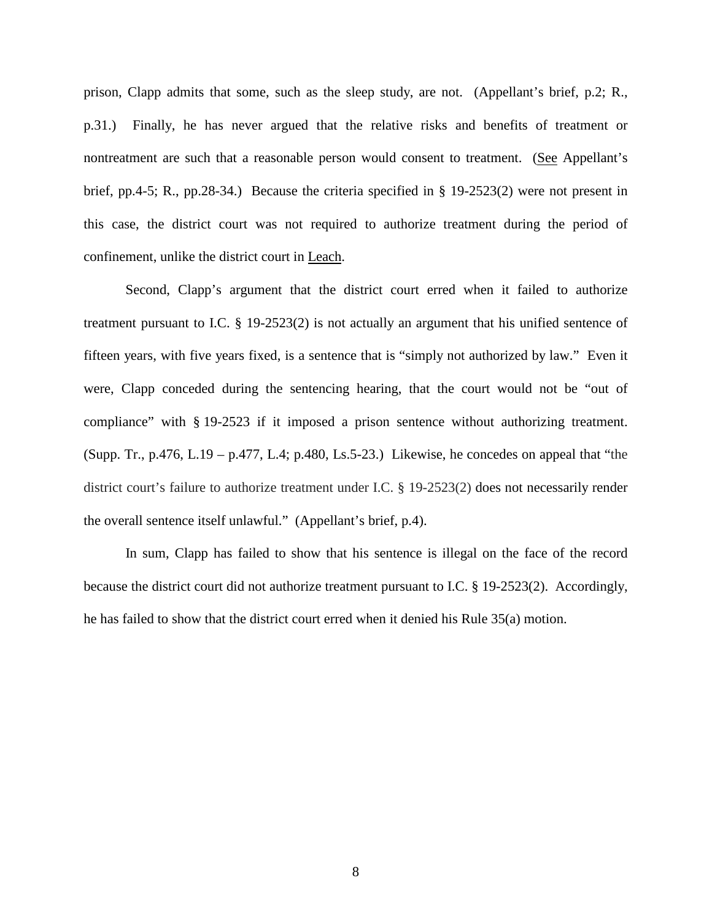prison, Clapp admits that some, such as the sleep study, are not. (Appellant's brief, p.2; R., p.31.) Finally, he has never argued that the relative risks and benefits of treatment or nontreatment are such that a reasonable person would consent to treatment. (See Appellant's brief, pp.4-5; R., pp.28-34.) Because the criteria specified in § 19-2523(2) were not present in this case, the district court was not required to authorize treatment during the period of confinement, unlike the district court in Leach.

Second, Clapp's argument that the district court erred when it failed to authorize treatment pursuant to I.C. § 19-2523(2) is not actually an argument that his unified sentence of fifteen years, with five years fixed, is a sentence that is "simply not authorized by law." Even it were, Clapp conceded during the sentencing hearing, that the court would not be "out of compliance" with § 19-2523 if it imposed a prison sentence without authorizing treatment. (Supp. Tr., p.476, L.19 – p.477, L.4; p.480, Ls.5-23.) Likewise, he concedes on appeal that "the district court's failure to authorize treatment under I.C. § 19-2523(2) does not necessarily render the overall sentence itself unlawful." (Appellant's brief, p.4).

In sum, Clapp has failed to show that his sentence is illegal on the face of the record because the district court did not authorize treatment pursuant to I.C. § 19-2523(2). Accordingly, he has failed to show that the district court erred when it denied his Rule 35(a) motion.